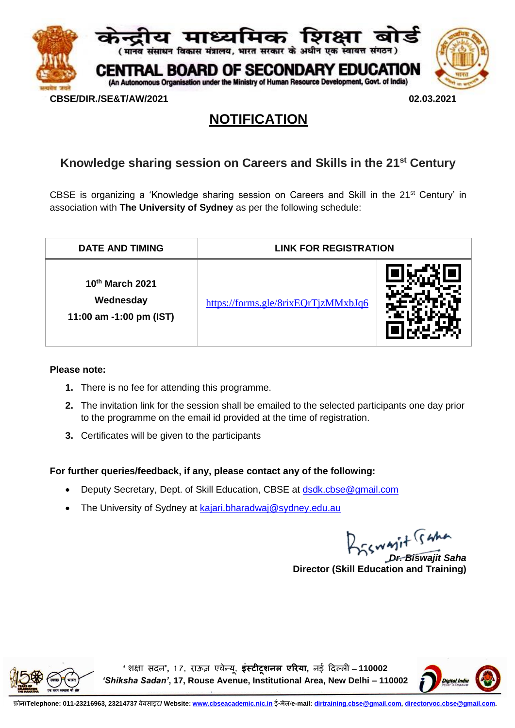

# **NOTIFICATION**

## **Knowledge sharing session on Careers and Skills in the 21st Century**

CBSE is organizing a 'Knowledge sharing session on Careers and Skill in the 21st Century' in association with **The University of Sydney** as per the following schedule:

| <b>DATE AND TIMING</b>                                  | <b>LINK FOR REGISTRATION</b>        |  |
|---------------------------------------------------------|-------------------------------------|--|
| 10th March 2021<br>Wednesday<br>11:00 am -1:00 pm (IST) | https://forms.gle/8rixEQrTjzMMxbJq6 |  |

#### **Please note:**

- **1.** There is no fee for attending this programme.
- **2.** The invitation link for the session shall be emailed to the selected participants one day prior to the programme on the email id provided at the time of registration.
- **3.** Certificates will be given to the participants

#### **For further queries/feedback, if any, please contact any of the following:**

- Deputy Secretary, Dept. of Skill Education, CBSE at [dsdk.cbse@gmail.com](mailto:dsdk.cbse@gmail.com)
- The University of Sydney at [kajari.bharadwaj@sydney.edu.au](mailto:kajari.bharadwaj@sydney.edu.au)

*Dr. Biswajit Saha*

**Director (Skill Education and Training)**



**'शिक्षा सदन', 1 7, राऊज़ एवेन्यू, इंस्टीटूशनल एरिया, नई ददल्ली** – **110002**  *'Shiksha Sadan'***, 17, Rouse Avenue, Institutional Area, New Delhi – 110002**